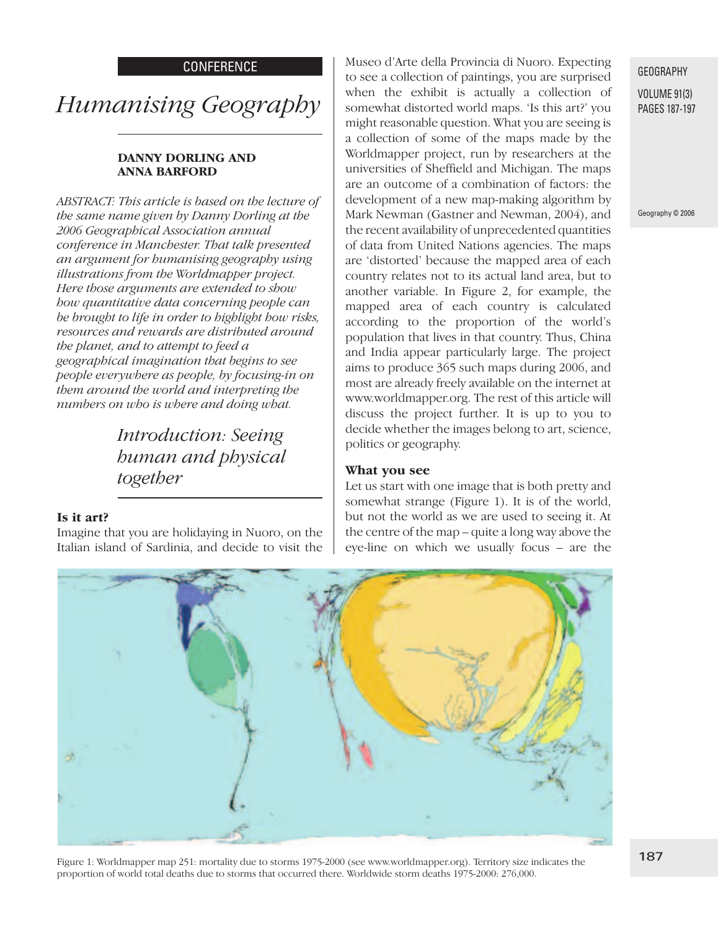#### **CONFERENCE**

# *Humanising Geography*

#### **DANNY DORLING AND ANNA BARFORD**

*ABSTRACT: This article is based on the lecture of the same name given by Danny Dorling at the 2006 Geographical Association annual conference in Manchester. That talk presented an argument for humanising geography using illustrations from the Worldmapper project. Here those arguments are extended to show how quantitative data concerning people can be brought to life in order to highlight how risks, resources and rewards are distributed around the planet, and to attempt to feed a geographical imagination that begins to see people everywhere as people, by focusing-in on them around the world and interpreting the numbers on who is where and doing what.*

> *Introduction: Seeing human and physical together*

#### **Is it art?**

Imagine that you are holidaying in Nuoro, on the Italian island of Sardinia, and decide to visit the

Museo d'Arte della Provincia di Nuoro. Expecting to see a collection of paintings, you are surprised when the exhibit is actually a collection of somewhat distorted world maps. 'Is this art?' you might reasonable question. What you are seeing is a collection of some of the maps made by the Worldmapper project, run by researchers at the universities of Sheffield and Michigan. The maps are an outcome of a combination of factors: the development of a new map-making algorithm by Mark Newman (Gastner and Newman, 2004), and the recent availability of unprecedented quantities of data from United Nations agencies. The maps are 'distorted' because the mapped area of each country relates not to its actual land area, but to another variable. In Figure 2, for example, the mapped area of each country is calculated according to the proportion of the world's population that lives in that country. Thus, China and India appear particularly large. The project aims to produce 365 such maps during 2006, and most are already freely available on the internet at www.worldmapper.org. The rest of this article will discuss the project further. It is up to you to decide whether the images belong to art, science, politics or geography.

#### **What you see**

Let us start with one image that is both pretty and somewhat strange (Figure 1). It is of the world, but not the world as we are used to seeing it. At the centre of the map – quite a long way above the eye-line on which we usually focus – are the



#### GEOGRAPHY

VOLUME 91(3) PAGES 187-197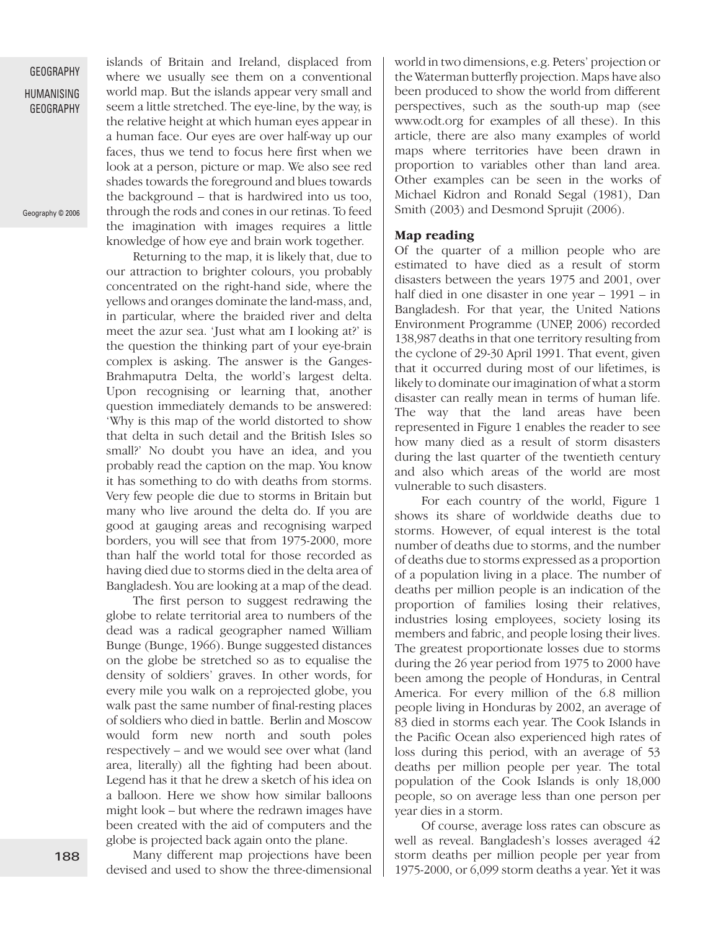HUMANISING GEOGRAPHY

Geography © 2006

islands of Britain and Ireland, displaced from where we usually see them on a conventional world map. But the islands appear very small and seem a little stretched. The eye-line, by the way, is the relative height at which human eyes appear in a human face. Our eyes are over half-way up our faces, thus we tend to focus here first when we look at a person, picture or map. We also see red shades towards the foreground and blues towards the background – that is hardwired into us too, through the rods and cones in our retinas. To feed the imagination with images requires a little knowledge of how eye and brain work together.

Returning to the map, it is likely that, due to our attraction to brighter colours, you probably concentrated on the right-hand side, where the yellows and oranges dominate the land-mass, and, in particular, where the braided river and delta meet the azur sea. 'Just what am I looking at?' is the question the thinking part of your eye-brain complex is asking. The answer is the Ganges-Brahmaputra Delta, the world's largest delta. Upon recognising or learning that, another question immediately demands to be answered: 'Why is this map of the world distorted to show that delta in such detail and the British Isles so small?' No doubt you have an idea, and you probably read the caption on the map. You know it has something to do with deaths from storms. Very few people die due to storms in Britain but many who live around the delta do. If you are good at gauging areas and recognising warped borders, you will see that from 1975-2000, more than half the world total for those recorded as having died due to storms died in the delta area of Bangladesh. You are looking at a map of the dead.

The first person to suggest redrawing the globe to relate territorial area to numbers of the dead was a radical geographer named William Bunge (Bunge, 1966). Bunge suggested distances on the globe be stretched so as to equalise the density of soldiers' graves. In other words, for every mile you walk on a reprojected globe, you walk past the same number of final-resting places of soldiers who died in battle. Berlin and Moscow would form new north and south poles respectively – and we would see over what (land area, literally) all the fighting had been about. Legend has it that he drew a sketch of his idea on a balloon. Here we show how similar balloons might look – but where the redrawn images have been created with the aid of computers and the globe is projected back again onto the plane.

Many different map projections have been devised and used to show the three-dimensional world in two dimensions, e.g. Peters' projection or the Waterman butterfly projection. Maps have also been produced to show the world from different perspectives, such as the south-up map (see www.odt.org for examples of all these). In this article, there are also many examples of world maps where territories have been drawn in proportion to variables other than land area. Other examples can be seen in the works of Michael Kidron and Ronald Segal (1981), Dan Smith (2003) and Desmond Sprujit (2006).

#### **Map reading**

Of the quarter of a million people who are estimated to have died as a result of storm disasters between the years 1975 and 2001, over half died in one disaster in one year – 1991 – in Bangladesh. For that year, the United Nations Environment Programme (UNEP, 2006) recorded 138,987 deaths in that one territory resulting from the cyclone of 29-30 April 1991. That event, given that it occurred during most of our lifetimes, is likely to dominate our imagination of what a storm disaster can really mean in terms of human life. The way that the land areas have been represented in Figure 1 enables the reader to see how many died as a result of storm disasters during the last quarter of the twentieth century and also which areas of the world are most vulnerable to such disasters.

For each country of the world, Figure 1 shows its share of worldwide deaths due to storms. However, of equal interest is the total number of deaths due to storms, and the number of deaths due to storms expressed as a proportion of a population living in a place. The number of deaths per million people is an indication of the proportion of families losing their relatives, industries losing employees, society losing its members and fabric, and people losing their lives. The greatest proportionate losses due to storms during the 26 year period from 1975 to 2000 have been among the people of Honduras, in Central America. For every million of the 6.8 million people living in Honduras by 2002, an average of 83 died in storms each year. The Cook Islands in the Pacific Ocean also experienced high rates of loss during this period, with an average of 53 deaths per million people per year. The total population of the Cook Islands is only 18,000 people, so on average less than one person per year dies in a storm.

Of course, average loss rates can obscure as well as reveal. Bangladesh's losses averaged 42 storm deaths per million people per year from 1975-2000, or 6,099 storm deaths a year. Yet it was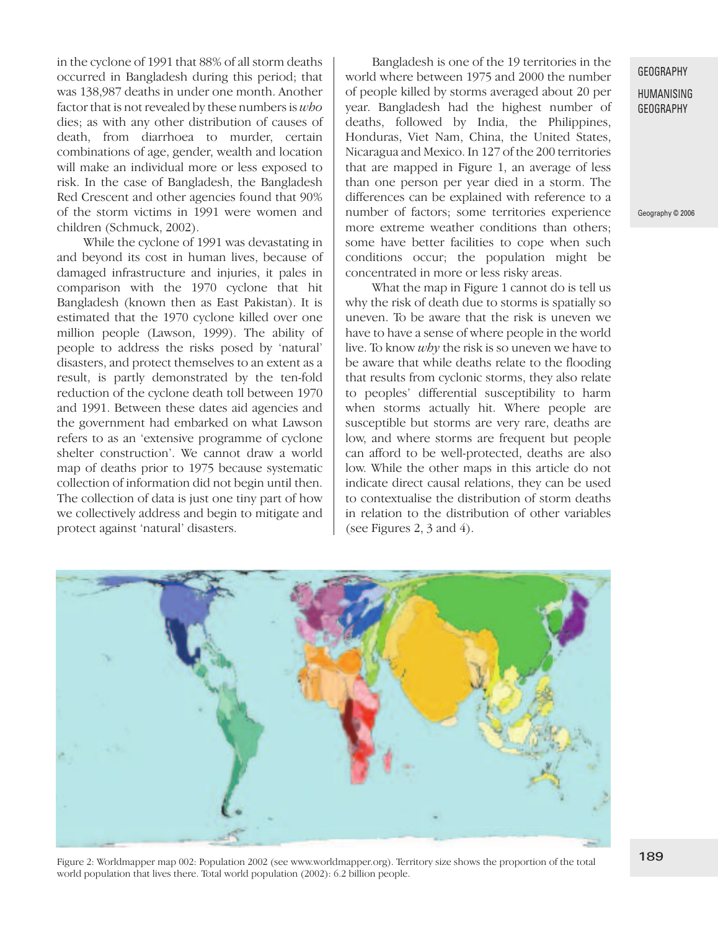in the cyclone of 1991 that 88% of all storm deaths occurred in Bangladesh during this period; that was 138,987 deaths in under one month. Another factor that is not revealed by these numbers is *who* dies; as with any other distribution of causes of death, from diarrhoea to murder, certain combinations of age, gender, wealth and location will make an individual more or less exposed to risk. In the case of Bangladesh, the Bangladesh Red Crescent and other agencies found that 90% of the storm victims in 1991 were women and children (Schmuck, 2002).

While the cyclone of 1991 was devastating in and beyond its cost in human lives, because of damaged infrastructure and injuries, it pales in comparison with the 1970 cyclone that hit Bangladesh (known then as East Pakistan). It is estimated that the 1970 cyclone killed over one million people (Lawson, 1999). The ability of people to address the risks posed by 'natural' disasters, and protect themselves to an extent as a result, is partly demonstrated by the ten-fold reduction of the cyclone death toll between 1970 and 1991. Between these dates aid agencies and the government had embarked on what Lawson refers to as an 'extensive programme of cyclone shelter construction'. We cannot draw a world map of deaths prior to 1975 because systematic collection of information did not begin until then. The collection of data is just one tiny part of how we collectively address and begin to mitigate and protect against 'natural' disasters.

Bangladesh is one of the 19 territories in the world where between 1975 and 2000 the number of people killed by storms averaged about 20 per year. Bangladesh had the highest number of deaths, followed by India, the Philippines, Honduras, Viet Nam, China, the United States, Nicaragua and Mexico. In 127 of the 200 territories that are mapped in Figure 1, an average of less than one person per year died in a storm. The differences can be explained with reference to a number of factors; some territories experience more extreme weather conditions than others: some have better facilities to cope when such conditions occur; the population might be concentrated in more or less risky areas.

What the map in Figure 1 cannot do is tell us why the risk of death due to storms is spatially so uneven. To be aware that the risk is uneven we have to have a sense of where people in the world live. To know *why* the risk is so uneven we have to be aware that while deaths relate to the flooding that results from cyclonic storms, they also relate to peoples' differential susceptibility to harm when storms actually hit. Where people are susceptible but storms are very rare, deaths are low, and where storms are frequent but people can afford to be well-protected, deaths are also low. While the other maps in this article do not indicate direct causal relations, they can be used to contextualise the distribution of storm deaths in relation to the distribution of other variables (see Figures 2, 3 and 4).

#### **GEOGRAPHY**

#### HUMANISING GEOGRAPHY



Figure 2: Worldmapper map 002: Population 2002 (see www.worldmapper.org). Territory size shows the proportion of the total world population that lives there. Total world population (2002): 6.2 billion people.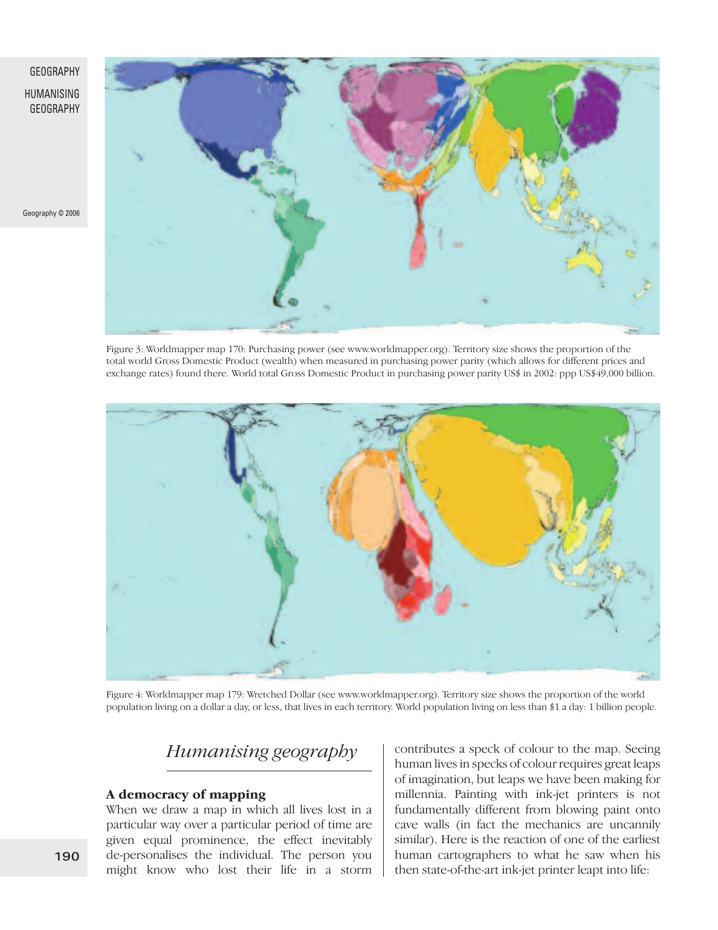#### HUMANISING GEOGRAPHY

Geography © 2006



Figure 3: Worldmapper map 170: Purchasing power (see www.worldmapper.org). Territory size shows the proportion of the total world Gross Domestic Product (wealth) when measured in purchasing power parity (which allows for different prices and exchange rates) found there. World total Gross Domestic Product in purchasing power parity US\$ in 2002: ppp US\$49,000 billion.



Figure 4: Worldmapper map 179: Wretched Dollar (see www.worldmapper.org). Territory size shows the proportion of the world population living on a dollar a day, or less, that lives in each territory. World population living on less than \$1 a day: 1 billion people.

# *Humanising geography*

#### **A democracy of mapping**

When we draw a map in which all lives lost in a particular way over a particular period of time are given equal prominence, the effect inevitably de-personalises the individual. The person you might know who lost their life in a storm contributes a speck of colour to the map. Seeing human lives in specks of colour requires great leaps of imagination, but leaps we have been making for millennia. Painting with ink-jet printers is not fundamentally different from blowing paint onto cave walls (in fact the mechanics are uncannily similar). Here is the reaction of one of the earliest human cartographers to what he saw when his then state-of-the-art ink-jet printer leapt into life: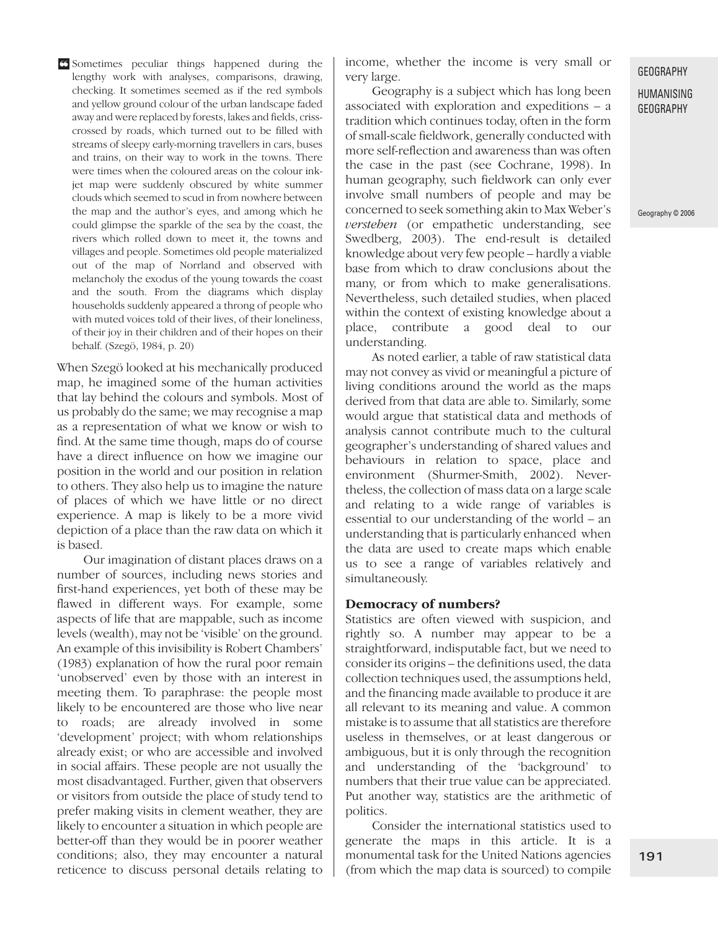lengthy work with analyses, comparisons, drawing, checking. It sometimes seemed as if the red symbols and yellow ground colour of the urban landscape faded away and were replaced by forests, lakes and fields, crisscrossed by roads, which turned out to be filled with streams of sleepy early-morning travellers in cars, buses and trains, on their way to work in the towns. There were times when the coloured areas on the colour inkjet map were suddenly obscured by white summer clouds which seemed to scud in from nowhere between the map and the author's eyes, and among which he could glimpse the sparkle of the sea by the coast, the rivers which rolled down to meet it, the towns and villages and people. Sometimes old people materialized out of the map of Norrland and observed with melancholy the exodus of the young towards the coast and the south. From the diagrams which display households suddenly appeared a throng of people who with muted voices told of their lives, of their loneliness, of their joy in their children and of their hopes on their behalf. (Szegö, 1984, p. 20)

When Szegö looked at his mechanically produced map, he imagined some of the human activities that lay behind the colours and symbols. Most of us probably do the same; we may recognise a map as a representation of what we know or wish to find. At the same time though, maps do of course have a direct influence on how we imagine our position in the world and our position in relation to others. They also help us to imagine the nature of places of which we have little or no direct experience. A map is likely to be a more vivid depiction of a place than the raw data on which it is based.

Our imagination of distant places draws on a number of sources, including news stories and first-hand experiences, yet both of these may be flawed in different ways. For example, some aspects of life that are mappable, such as income levels (wealth), may not be 'visible' on the ground. An example of this invisibility is Robert Chambers' (1983) explanation of how the rural poor remain 'unobserved' even by those with an interest in meeting them. To paraphrase: the people most likely to be encountered are those who live near to roads; are already involved in some 'development' project; with whom relationships already exist; or who are accessible and involved in social affairs. These people are not usually the most disadvantaged. Further, given that observers or visitors from outside the place of study tend to prefer making visits in clement weather, they are likely to encounter a situation in which people are better-off than they would be in poorer weather conditions; also, they may encounter a natural reticence to discuss personal details relating to

Sometimes peculiar things happened during the **❝** income, whether the income is very small or very large.

> Geography is a subject which has long been associated with exploration and expeditions – a tradition which continues today, often in the form of small-scale fieldwork, generally conducted with more self-reflection and awareness than was often the case in the past (see Cochrane, 1998). In human geography, such fieldwork can only ever involve small numbers of people and may be concerned to seek something akin to Max Weber's *verstehen* (or empathetic understanding, see Swedberg, 2003). The end-result is detailed knowledge about very few people – hardly a viable base from which to draw conclusions about the many, or from which to make generalisations. Nevertheless, such detailed studies, when placed within the context of existing knowledge about a place, contribute a good deal to our understanding.

> As noted earlier, a table of raw statistical data may not convey as vivid or meaningful a picture of living conditions around the world as the maps derived from that data are able to. Similarly, some would argue that statistical data and methods of analysis cannot contribute much to the cultural geographer's understanding of shared values and behaviours in relation to space, place and environment (Shurmer-Smith, 2002). Nevertheless, the collection of mass data on a large scale and relating to a wide range of variables is essential to our understanding of the world – an understanding that is particularly enhanced when the data are used to create maps which enable us to see a range of variables relatively and simultaneously.

#### **Democracy of numbers?**

Statistics are often viewed with suspicion, and rightly so. A number may appear to be a straightforward, indisputable fact, but we need to consider its origins – the definitions used, the data collection techniques used, the assumptions held, and the financing made available to produce it are all relevant to its meaning and value. A common mistake is to assume that all statistics are therefore useless in themselves, or at least dangerous or ambiguous, but it is only through the recognition and understanding of the 'background' to numbers that their true value can be appreciated. Put another way, statistics are the arithmetic of politics.

Consider the international statistics used to generate the maps in this article. It is a monumental task for the United Nations agencies (from which the map data is sourced) to compile

#### GEOGRAPHY

#### HUMANISING GEOGRAPHY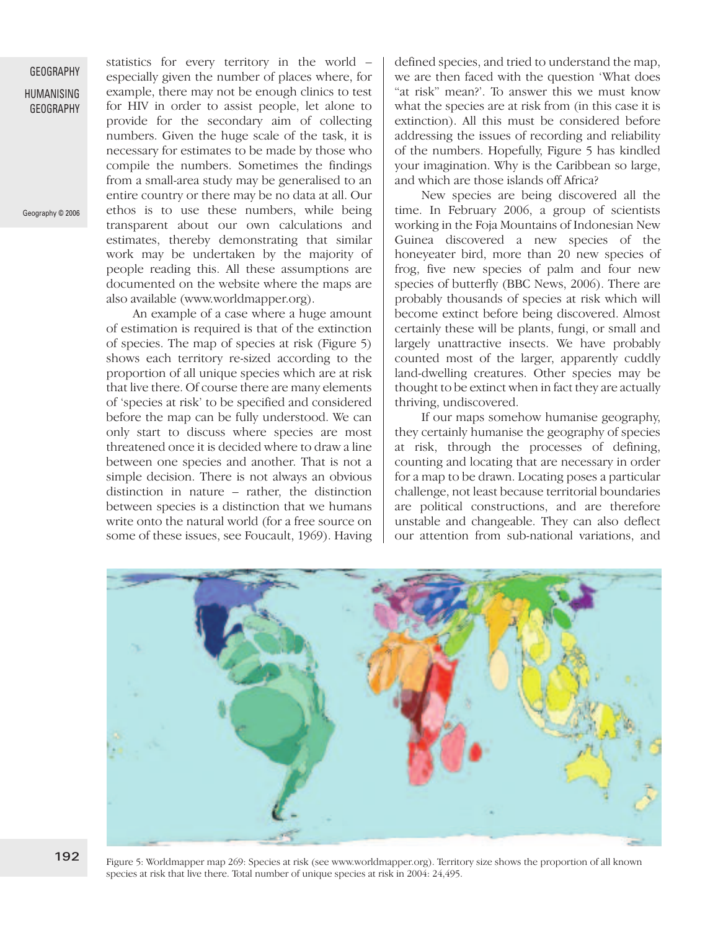statistics for every territory in the world – especially given the number of places where, for example, there may not be enough clinics to test for HIV in order to assist people, let alone to provide for the secondary aim of collecting numbers. Given the huge scale of the task, it is necessary for estimates to be made by those who compile the numbers. Sometimes the findings from a small-area study may be generalised to an entire country or there may be no data at all. Our ethos is to use these numbers, while being transparent about our own calculations and estimates, thereby demonstrating that similar work may be undertaken by the majority of people reading this. All these assumptions are documented on the website where the maps are also available (www.worldmapper.org).

An example of a case where a huge amount of estimation is required is that of the extinction of species. The map of species at risk (Figure 5) shows each territory re-sized according to the proportion of all unique species which are at risk that live there. Of course there are many elements of 'species at risk' to be specified and considered before the map can be fully understood. We can only start to discuss where species are most threatened once it is decided where to draw a line between one species and another. That is not a simple decision. There is not always an obvious distinction in nature – rather, the distinction between species is a distinction that we humans write onto the natural world (for a free source on some of these issues, see Foucault, 1969). Having

defined species, and tried to understand the map, we are then faced with the question 'What does "at risk" mean?'. To answer this we must know what the species are at risk from (in this case it is extinction). All this must be considered before addressing the issues of recording and reliability of the numbers. Hopefully, Figure 5 has kindled your imagination. Why is the Caribbean so large, and which are those islands off Africa?

New species are being discovered all the time. In February 2006, a group of scientists working in the Foja Mountains of Indonesian New Guinea discovered a new species of the honeyeater bird, more than 20 new species of frog, five new species of palm and four new species of butterfly (BBC News, 2006). There are probably thousands of species at risk which will become extinct before being discovered. Almost certainly these will be plants, fungi, or small and largely unattractive insects. We have probably counted most of the larger, apparently cuddly land-dwelling creatures. Other species may be thought to be extinct when in fact they are actually thriving, undiscovered.

If our maps somehow humanise geography, they certainly humanise the geography of species at risk, through the processes of defining, counting and locating that are necessary in order for a map to be drawn. Locating poses a particular challenge, not least because territorial boundaries are political constructions, and are therefore unstable and changeable. They can also deflect our attention from sub-national variations, and



Figure 5: Worldmapper map 269: Species at risk (see www.worldmapper.org). Territory size shows the proportion of all known species at risk that live there. Total number of unique species at risk in 2004: 24,495.

Geography © 2006

GEOGRAPHY HUMANISING GEOGRAPHY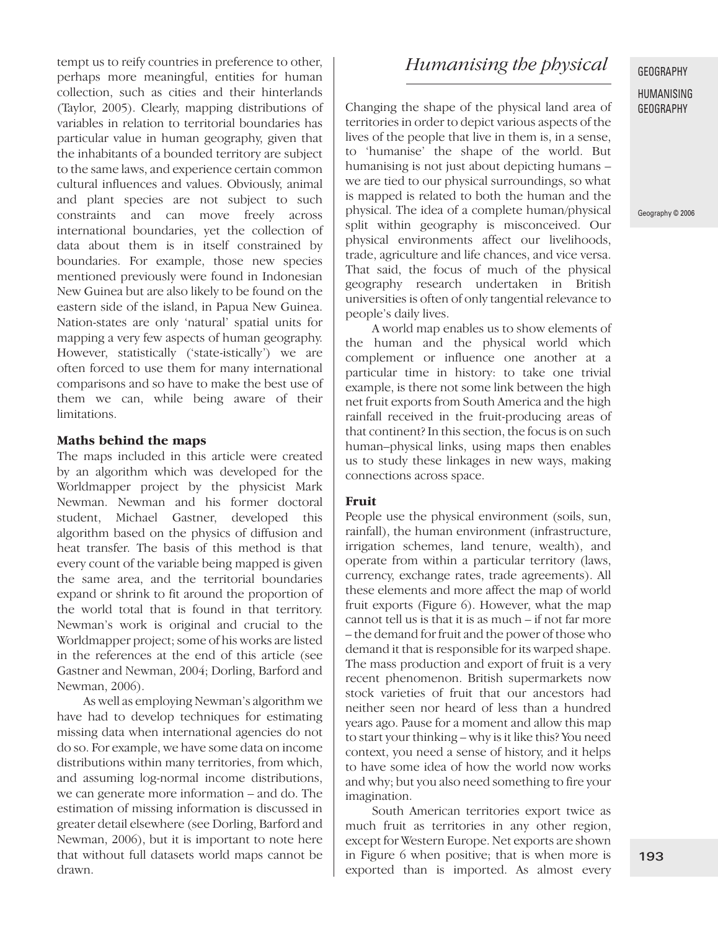tempt us to reify countries in preference to other, perhaps more meaningful, entities for human collection, such as cities and their hinterlands (Taylor, 2005). Clearly, mapping distributions of variables in relation to territorial boundaries has particular value in human geography, given that the inhabitants of a bounded territory are subject to the same laws, and experience certain common cultural influences and values. Obviously, animal and plant species are not subject to such constraints and can move freely across international boundaries, yet the collection of data about them is in itself constrained by boundaries. For example, those new species mentioned previously were found in Indonesian New Guinea but are also likely to be found on the eastern side of the island, in Papua New Guinea. Nation-states are only 'natural' spatial units for mapping a very few aspects of human geography. However, statistically ('state-istically') we are often forced to use them for many international comparisons and so have to make the best use of them we can, while being aware of their limitations.

#### **Maths behind the maps**

The maps included in this article were created by an algorithm which was developed for the Worldmapper project by the physicist Mark Newman. Newman and his former doctoral student, Michael Gastner, developed this algorithm based on the physics of diffusion and heat transfer. The basis of this method is that every count of the variable being mapped is given the same area, and the territorial boundaries expand or shrink to fit around the proportion of the world total that is found in that territory. Newman's work is original and crucial to the Worldmapper project; some of his works are listed in the references at the end of this article (see Gastner and Newman, 2004; Dorling, Barford and Newman, 2006).

As well as employing Newman's algorithm we have had to develop techniques for estimating missing data when international agencies do not do so. For example, we have some data on income distributions within many territories, from which, and assuming log-normal income distributions, we can generate more information – and do. The estimation of missing information is discussed in greater detail elsewhere (see Dorling, Barford and Newman, 2006), but it is important to note here that without full datasets world maps cannot be drawn.

## *Humanising the physical*

Changing the shape of the physical land area of territories in order to depict various aspects of the lives of the people that live in them is, in a sense, to 'humanise' the shape of the world. But humanising is not just about depicting humans – we are tied to our physical surroundings, so what is mapped is related to both the human and the physical. The idea of a complete human/physical split within geography is misconceived. Our physical environments affect our livelihoods, trade, agriculture and life chances, and vice versa. That said, the focus of much of the physical geography research undertaken in British universities is often of only tangential relevance to people's daily lives.

A world map enables us to show elements of the human and the physical world which complement or influence one another at a particular time in history: to take one trivial example, is there not some link between the high net fruit exports from South America and the high rainfall received in the fruit-producing areas of that continent? In this section, the focus is on such human–physical links, using maps then enables us to study these linkages in new ways, making connections across space.

#### **Fruit**

People use the physical environment (soils, sun, rainfall), the human environment (infrastructure, irrigation schemes, land tenure, wealth), and operate from within a particular territory (laws, currency, exchange rates, trade agreements). All these elements and more affect the map of world fruit exports (Figure 6). However, what the map cannot tell us is that it is as much – if not far more – the demand for fruit and the power of those who demand it that is responsible for its warped shape. The mass production and export of fruit is a very recent phenomenon. British supermarkets now stock varieties of fruit that our ancestors had neither seen nor heard of less than a hundred years ago. Pause for a moment and allow this map to start your thinking – why is it like this? You need context, you need a sense of history, and it helps to have some idea of how the world now works and why; but you also need something to fire your imagination.

South American territories export twice as much fruit as territories in any other region, except for Western Europe. Net exports are shown in Figure 6 when positive; that is when more is exported than is imported. As almost every

#### GEOGRAPHY

#### HUMANISING GEOGRAPHY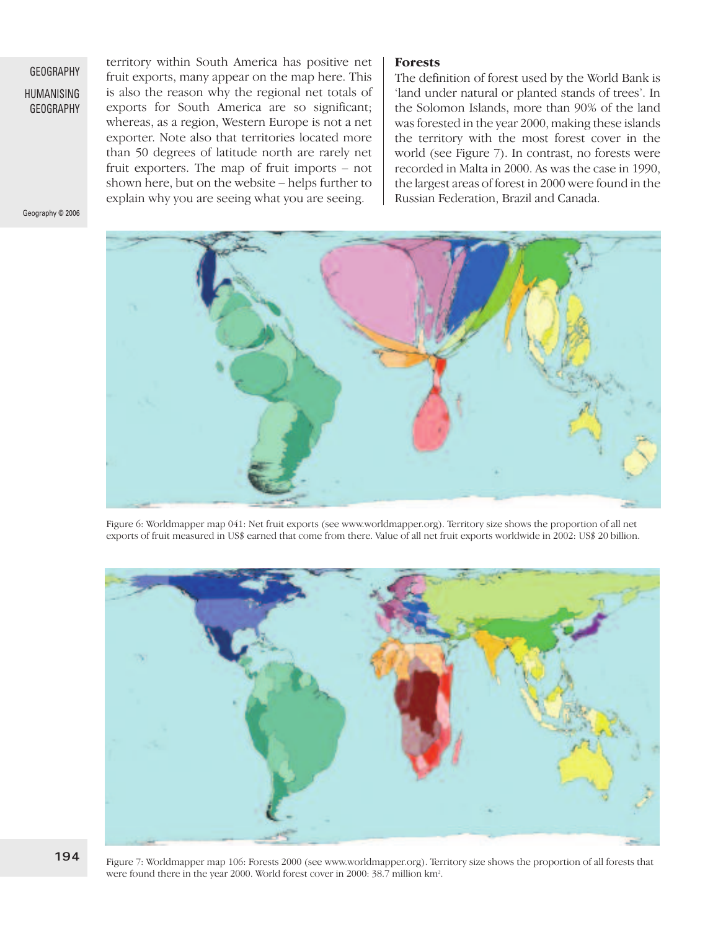HUMANISING GEOGRAPHY territory within South America has positive net fruit exports, many appear on the map here. This is also the reason why the regional net totals of exports for South America are so significant; whereas, as a region, Western Europe is not a net exporter. Note also that territories located more than 50 degrees of latitude north are rarely net fruit exporters. The map of fruit imports – not shown here, but on the website – helps further to explain why you are seeing what you are seeing.

**Forests**

The definition of forest used by the World Bank is 'land under natural or planted stands of trees'. In the Solomon Islands, more than 90% of the land was forested in the year 2000, making these islands the territory with the most forest cover in the world (see Figure 7). In contrast, no forests were recorded in Malta in 2000. As was the case in 1990, the largest areas of forest in 2000 were found in the Russian Federation, Brazil and Canada.



Figure 6: Worldmapper map 041: Net fruit exports (see www.worldmapper.org). Territory size shows the proportion of all net exports of fruit measured in US\$ earned that come from there. Value of all net fruit exports worldwide in 2002: US\$ 20 billion.



Figure 7: Worldmapper map 106: Forests 2000 (see www.worldmapper.org). Territory size shows the proportion of all forests that were found there in the year 2000. World forest cover in 2000: 38.7 million km<sup>2</sup>.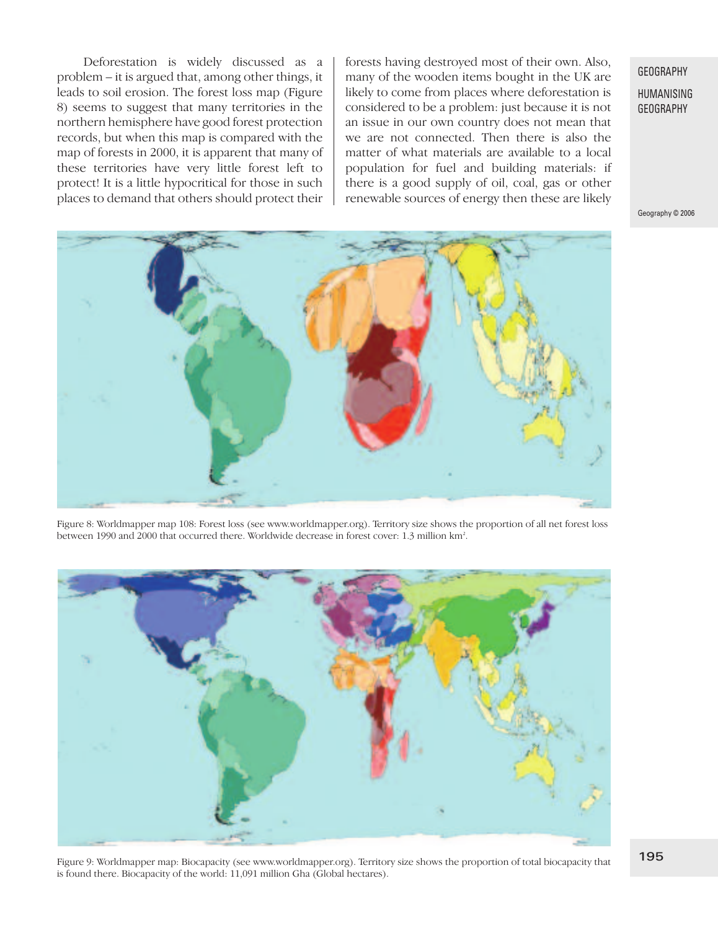Deforestation is widely discussed as a problem – it is argued that, among other things, it leads to soil erosion. The forest loss map (Figure 8) seems to suggest that many territories in the northern hemisphere have good forest protection records, but when this map is compared with the map of forests in 2000, it is apparent that many of these territories have very little forest left to protect! It is a little hypocritical for those in such places to demand that others should protect their forests having destroyed most of their own. Also, many of the wooden items bought in the UK are likely to come from places where deforestation is considered to be a problem: just because it is not an issue in our own country does not mean that we are not connected. Then there is also the matter of what materials are available to a local population for fuel and building materials: if there is a good supply of oil, coal, gas or other renewable sources of energy then these are likely

#### **GEOGRAPHY**

HUMANISING GEOGRAPHY

Geography © 2006



Figure 8: Worldmapper map 108: Forest loss (see www.worldmapper.org). Territory size shows the proportion of all net forest loss between 1990 and 2000 that occurred there. Worldwide decrease in forest cover: 1.3 million km2 .



Figure 9: Worldmapper map: Biocapacity (see www.worldmapper.org). Territory size shows the proportion of total biocapacity that is found there. Biocapacity of the world: 11,091 million Gha (Global hectares).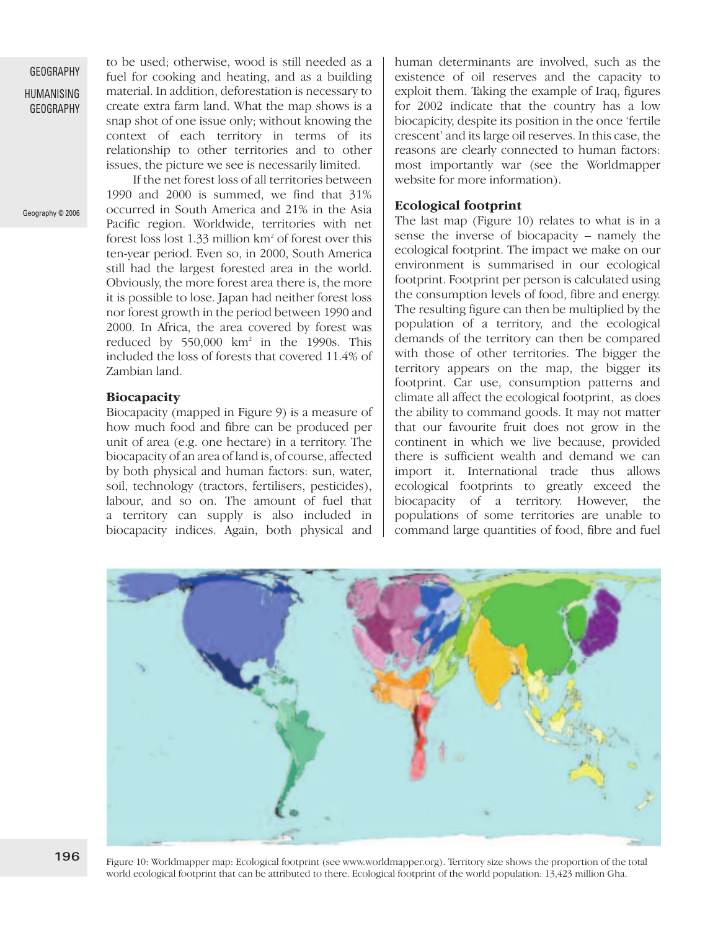HUMANISING GEOGRAPHY

Geography © 2006

to be used; otherwise, wood is still needed as a fuel for cooking and heating, and as a building material. In addition, deforestation is necessary to create extra farm land. What the map shows is a snap shot of one issue only; without knowing the context of each territory in terms of its relationship to other territories and to other issues, the picture we see is necessarily limited.

If the net forest loss of all territories between 1990 and 2000 is summed, we find that 31% occurred in South America and 21% in the Asia Pacific region. Worldwide, territories with net forest loss lost 1.33 million km2 of forest over this ten-year period. Even so, in 2000, South America still had the largest forested area in the world. Obviously, the more forest area there is, the more it is possible to lose. Japan had neither forest loss nor forest growth in the period between 1990 and 2000. In Africa, the area covered by forest was reduced by 550,000 km<sup>2</sup> in the 1990s. This included the loss of forests that covered 11.4% of Zambian land.

#### **Biocapacity**

Biocapacity (mapped in Figure 9) is a measure of how much food and fibre can be produced per unit of area (e.g. one hectare) in a territory. The biocapacity of an area of land is, of course, affected by both physical and human factors: sun, water, soil, technology (tractors, fertilisers, pesticides), labour, and so on. The amount of fuel that a territory can supply is also included in biocapacity indices. Again, both physical and

human determinants are involved, such as the existence of oil reserves and the capacity to exploit them. Taking the example of Iraq, figures for 2002 indicate that the country has a low biocapicity, despite its position in the once 'fertile crescent' and its large oil reserves. In this case, the reasons are clearly connected to human factors: most importantly war (see the Worldmapper website for more information).

#### **Ecological footprint**

The last map (Figure 10) relates to what is in a sense the inverse of biocapacity – namely the ecological footprint. The impact we make on our environment is summarised in our ecological footprint. Footprint per person is calculated using the consumption levels of food, fibre and energy. The resulting figure can then be multiplied by the population of a territory, and the ecological demands of the territory can then be compared with those of other territories. The bigger the territory appears on the map, the bigger its footprint. Car use, consumption patterns and climate all affect the ecological footprint, as does the ability to command goods. It may not matter that our favourite fruit does not grow in the continent in which we live because, provided there is sufficient wealth and demand we can import it. International trade thus allows ecological footprints to greatly exceed the biocapacity of a territory. However, the populations of some territories are unable to command large quantities of food, fibre and fuel



Figure 10: Worldmapper map: Ecological footprint (see www.worldmapper.org). Territory size shows the proportion of the total world ecological footprint that can be attributed to there. Ecological footprint of the world population: 13,423 million Gha.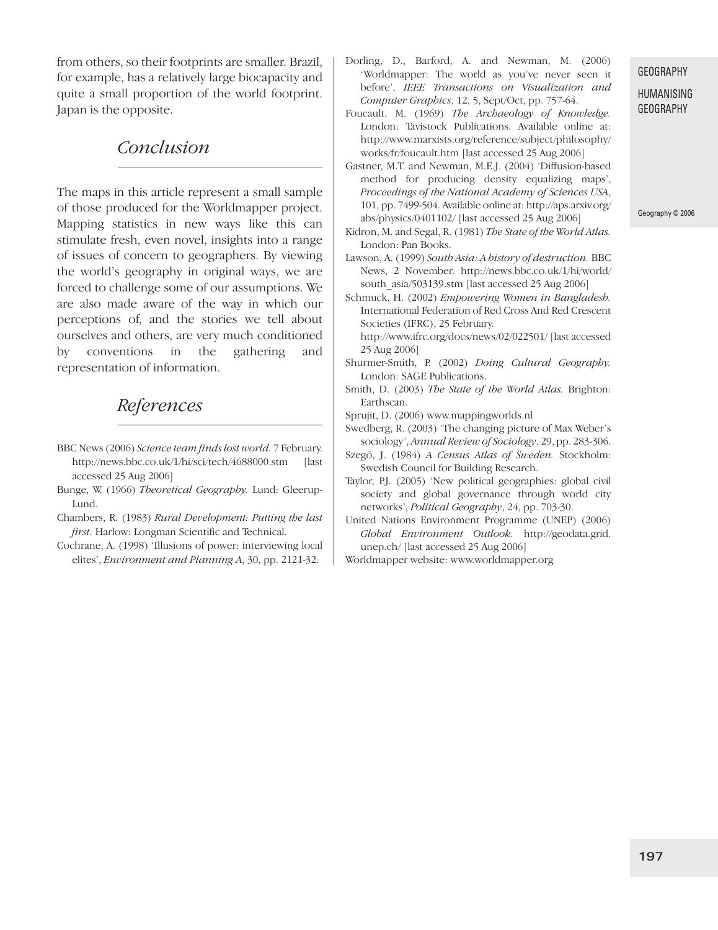from others, so their footprints are smaller. Brazil, for example, has a relatively large biocapacity and quite a small proportion of the world footprint. Japan is the opposite.

### *Conclusion*

The maps in this article represent a small sample of those produced for the Worldmapper project. Mapping statistics in new ways like this can stimulate fresh, even novel, insights into a range of issues of concern to geographers. By viewing the world's geography in original ways, we are forced to challenge some of our assumptions. We are also made aware of the way in which our perceptions of, and the stories we tell about ourselves and others, are very much conditioned by conventions in the gathering and representation of information.

# *References*

- BBC News (2006) *Science team finds lost world.* 7 February. http://news.bbc.co.uk/1/hi/sci/tech/4688000.stm [last accessed 25 Aug 2006]
- Bunge, W. (1966) *Theoretical Geography.* Lund: Gleerup-Lund.
- Chambers, R. (1983) *Rural Development: Putting the last first.* Harlow: Longman Scientific and Technical.
- Cochrane, A. (1998) 'Illusions of power: interviewing local elites', *Environment and Planning A*, 30, pp. 2121-32.

Dorling, D., Barford, A. and Newman, M. (2006) 'Worldmapper: The world as you've never seen it before', *IEEE Transactions on Visualization and Computer Graphics*, 12, 5, Sept/Oct, pp. 757-64.

Foucault, M. (1969) *The Archaeology of Knowledge.* London: Tavistock Publications. Available online at: http://www.marxists.org/reference/subject/philosophy/ works/fr/foucault.htm [last accessed 25 Aug 2006]

Gastner, M.T. and Newman, M.E.J. (2004) 'Diffusion-based method for producing density equalizing maps', *Proceedings of the National Academy of Sciences USA*, 101, pp. 7499-504. Available online at: http://aps.arxiv.org/ abs/physics/0401102/ [last accessed 25 Aug 2006]

Kidron, M. and Segal, R. (1981) *The State of the World Atlas.* London: Pan Books.

Lawson, A. (1999) *South Asia: A history of destruction.* BBC News, 2 November. http://news.bbc.co.uk/1/hi/world/ south\_asia/503139.stm [last accessed 25 Aug 2006]

Schmuck, H. (2002) *Empowering Women in Bangladesh.* International Federation of Red Cross And Red Crescent Societies (IFRC), 25 February.

http://www.ifrc.org/docs/news/02/022501/ [last accessed 25 Aug 2006]

- Shurmer-Smith, P. (2002) *Doing Cultural Geography.* London: SAGE Publications.
- Smith, D. (2003) *The State of the World Atlas.* Brighton: Earthscan.

Sprujit, D. (2006) www.mappingworlds.nl

Swedberg, R. (2003) 'The changing picture of Max Weber's sociology', *Annual Review of Sociology*, 29, pp. 283-306.

- Szegö, J. (1984) *A Census Atlas of Sweden.* Stockholm: Swedish Council for Building Research.
- Taylor, P.J. (2005) 'New political geographies: global civil society and global governance through world city networks', *Political Geography*, 24, pp. 703-30.
- United Nations Environment Programme (UNEP) (2006) *Global Environment Outlook.* http://geodata.grid. unep.ch/ [last accessed 25 Aug 2006]
- Worldmapper website: www.worldmapper.org

#### GEOGRAPHY

HUMANISING GEOGRAPHY